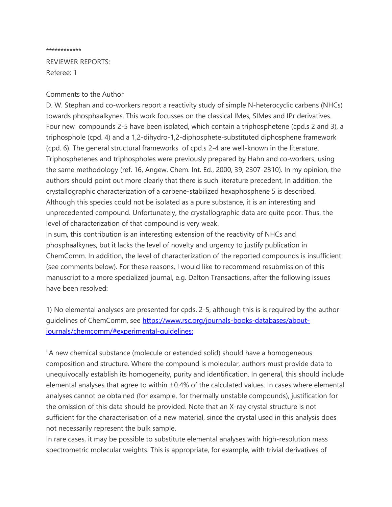## \*\*\*\*\*\*\*\*\*\*\*\*

REVIEWER REPORTS: Referee: 1

## Comments to the Author

D. W. Stephan and co-workers report a reactivity study of simple N-heterocyclic carbens (NHCs) towards phosphaalkynes. This work focusses on the classical IMes, SIMes and IPr derivatives. Four new compounds 2-5 have been isolated, which contain a triphosphetene (cpd.s 2 and 3), a triphosphole (cpd. 4) and a 1,2-dihydro-1,2-diphosphete-substituted diphosphene framework (cpd. 6). The general structural frameworks of cpd.s 2-4 are well-known in the literature. Triphosphetenes and triphospholes were previously prepared by Hahn and co-workers, using the same methodology (ref. 16, Angew. Chem. Int. Ed., 2000, 39, 2307-2310). In my opinion, the authors should point out more clearly that there is such literature precedent, In addition, the crystallographic characterization of a carbene-stabilized hexaphosphene 5 is described. Although this species could not be isolated as a pure substance, it is an interesting and unprecedented compound. Unfortunately, the crystallographic data are quite poor. Thus, the level of characterization of that compound is very weak.

In sum, this contribution is an interesting extension of the reactivity of NHCs and phosphaalkynes, but it lacks the level of novelty and urgency to justify publication in ChemComm. In addition, the level of characterization of the reported compounds is insufficient (see comments below). For these reasons, I would like to recommend resubmission of this manuscript to a more specialized journal, e.g. Dalton Transactions, after the following issues have been resolved:

1) No elemental analyses are presented for cpds. 2-5, although this is is required by the author guidelines of ChemComm, see [https://www.rsc.org/journals-books-databases/about](https://www.rsc.org/journals-books-databases/about-journals/chemcomm/#experimental-guidelines:)[journals/chemcomm/#experimental-guidelines:](https://www.rsc.org/journals-books-databases/about-journals/chemcomm/#experimental-guidelines:)

"A new chemical substance (molecule or extended solid) should have a homogeneous composition and structure. Where the compound is molecular, authors must provide data to unequivocally establish its homogeneity, purity and identification. In general, this should include elemental analyses that agree to within ±0.4% of the calculated values. In cases where elemental analyses cannot be obtained (for example, for thermally unstable compounds), justification for the omission of this data should be provided. Note that an X-ray crystal structure is not sufficient for the characterisation of a new material, since the crystal used in this analysis does not necessarily represent the bulk sample.

In rare cases, it may be possible to substitute elemental analyses with high-resolution mass spectrometric molecular weights. This is appropriate, for example, with trivial derivatives of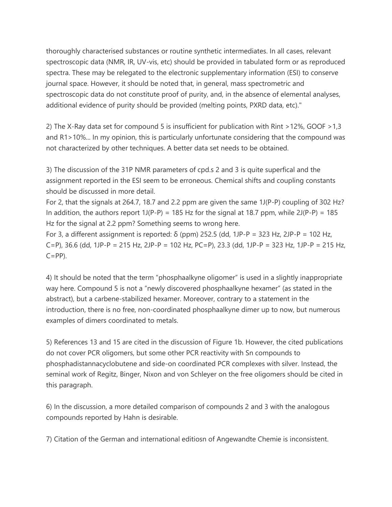thoroughly characterised substances or routine synthetic intermediates. In all cases, relevant spectroscopic data (NMR, IR, UV-vis, etc) should be provided in tabulated form or as reproduced spectra. These may be relegated to the electronic supplementary information (ESI) to conserve journal space. However, it should be noted that, in general, mass spectrometric and spectroscopic data do not constitute proof of purity, and, in the absence of elemental analyses, additional evidence of purity should be provided (melting points, PXRD data, etc)."

2) The X-Ray data set for compound 5 is insufficient for publication with Rint >12%, GOOF >1,3 and R1>10%... In my opinion, this is particularly unfortunate considering that the compound was not characterized by other techniques. A better data set needs to be obtained.

3) The discussion of the 31P NMR parameters of cpd.s 2 and 3 is quite superfical and the assignment reported in the ESI seem to be erroneous. Chemical shifts and coupling constants should be discussed in more detail.

For 2, that the signals at 264.7, 18.7 and 2.2 ppm are given the same 1J(P-P) coupling of 302 Hz? In addition, the authors report  $1J(P-P) = 185$  Hz for the signal at 18.7 ppm, while  $2J(P-P) = 185$ Hz for the signal at 2.2 ppm? Something seems to wrong here.

For 3, a different assignment is reported: δ (ppm) 252.5 (dd, 1JP-P = 323 Hz, 2JP-P = 102 Hz, C=P), 36.6 (dd, 1JP-P = 215 Hz, 2JP-P = 102 Hz, PC=P), 23.3 (dd, 1JP-P = 323 Hz, 1JP-P = 215 Hz,  $C=PP$ ).

4) It should be noted that the term "phosphaalkyne oligomer" is used in a slightly inappropriate way here. Compound 5 is not a "newly discovered phosphaalkyne hexamer" (as stated in the abstract), but a carbene-stabilized hexamer. Moreover, contrary to a statement in the introduction, there is no free, non-coordinated phosphaalkyne dimer up to now, but numerous examples of dimers coordinated to metals.

5) References 13 and 15 are cited in the discussion of Figure 1b. However, the cited publications do not cover PCR oligomers, but some other PCR reactivity with Sn compounds to phosphadistannacyclobutene and side-on coordinated PCR complexes with silver. Instead, the seminal work of Regitz, Binger, Nixon and von Schleyer on the free oligomers should be cited in this paragraph.

6) In the discussion, a more detailed comparison of compounds 2 and 3 with the analogous compounds reported by Hahn is desirable.

7) Citation of the German and international editiosn of Angewandte Chemie is inconsistent.